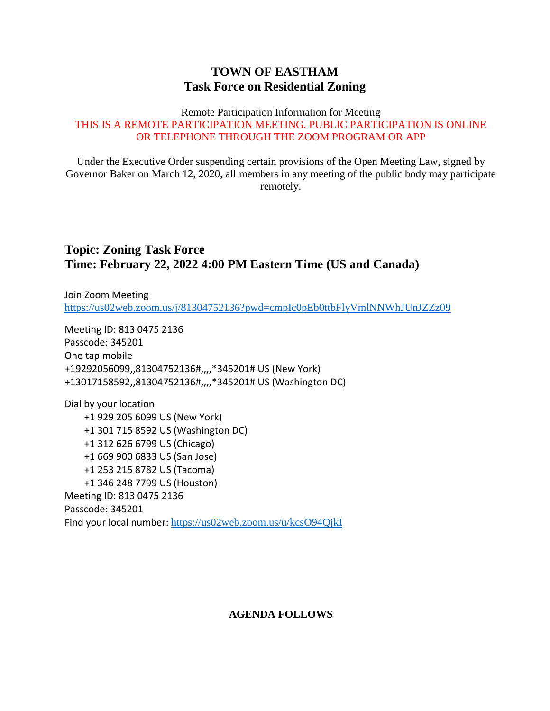## **TOWN OF EASTHAM Task Force on Residential Zoning**

#### Remote Participation Information for Meeting THIS IS A REMOTE PARTICIPATION MEETING. PUBLIC PARTICIPATION IS ONLINE OR TELEPHONE THROUGH THE ZOOM PROGRAM OR APP

Under the Executive Order suspending certain provisions of the Open Meeting Law, signed by Governor Baker on March 12, 2020, all members in any meeting of the public body may participate remotely.

## **Topic: Zoning Task Force Time: February 22, 2022 4:00 PM Eastern Time (US and Canada)**

Join Zoom Meeting <https://us02web.zoom.us/j/81304752136?pwd=cmpIc0pEb0ttbFlyVmlNNWhJUnJZZz09>

Meeting ID: 813 0475 2136 Passcode: 345201 One tap mobile +19292056099,,81304752136#,,,,\*345201# US (New York) +13017158592,,81304752136#,,,,\*345201# US (Washington DC)

Dial by your location +1 929 205 6099 US (New York) +1 301 715 8592 US (Washington DC) +1 312 626 6799 US (Chicago) +1 669 900 6833 US (San Jose) +1 253 215 8782 US (Tacoma) +1 346 248 7799 US (Houston) Meeting ID: 813 0475 2136 Passcode: 345201 Find your local number: <https://us02web.zoom.us/u/kcsO94QjkI>

### **AGENDA FOLLOWS**